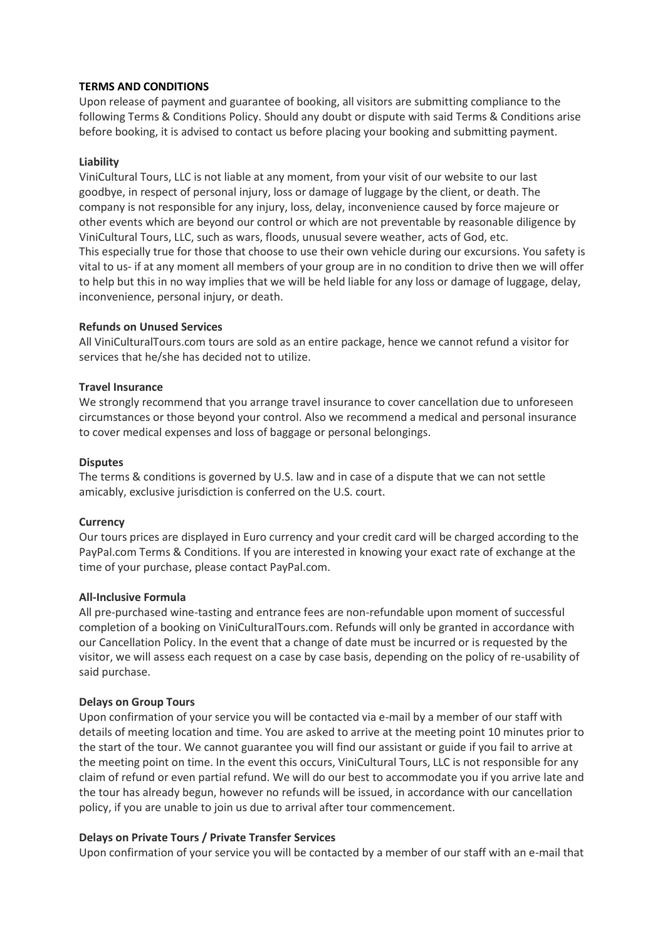#### **TERMS AND CONDITIONS**

Upon release of payment and guarantee of booking, all visitors are submitting compliance to the following Terms & Conditions Policy. Should any doubt or dispute with said Terms & Conditions arise before booking, it is advised to contact us before placing your booking and submitting payment.

## **Liability**

ViniCultural Tours, LLC is not liable at any moment, from your visit of our website to our last goodbye, in respect of personal injury, loss or damage of luggage by the client, or death. The company is not responsible for any injury, loss, delay, inconvenience caused by force majeure or other events which are beyond our control or which are not preventable by reasonable diligence by ViniCultural Tours, LLC, such as wars, floods, unusual severe weather, acts of God, etc. This especially true for those that choose to use their own vehicle during our excursions. You safety is vital to us- if at any moment all members of your group are in no condition to drive then we will offer to help but this in no way implies that we will be held liable for any loss or damage of luggage, delay, inconvenience, personal injury, or death.

## **Refunds on Unused Services**

All ViniCulturalTours.com tours are sold as an entire package, hence we cannot refund a visitor for services that he/she has decided not to utilize.

## **Travel Insurance**

We strongly recommend that you arrange travel insurance to cover cancellation due to unforeseen circumstances or those beyond your control. Also we recommend a medical and personal insurance to cover medical expenses and loss of baggage or personal belongings.

## **Disputes**

The terms & conditions is governed by U.S. law and in case of a dispute that we can not settle amicably, exclusive jurisdiction is conferred on the U.S. court.

#### **Currency**

Our tours prices are displayed in Euro currency and your credit card will be charged according to the PayPal.com Terms & Conditions. If you are interested in knowing your exact rate of exchange at the time of your purchase, please contact PayPal.com.

#### **All-Inclusive Formula**

All pre-purchased wine-tasting and entrance fees are non-refundable upon moment of successful completion of a booking on ViniCulturalTours.com. Refunds will only be granted in accordance with our Cancellation Policy. In the event that a change of date must be incurred or is requested by the visitor, we will assess each request on a case by case basis, depending on the policy of re-usability of said purchase.

#### **Delays on Group Tours**

Upon confirmation of your service you will be contacted via e-mail by a member of our staff with details of meeting location and time. You are asked to arrive at the meeting point 10 minutes prior to the start of the tour. We cannot guarantee you will find our assistant or guide if you fail to arrive at the meeting point on time. In the event this occurs, ViniCultural Tours, LLC is not responsible for any claim of refund or even partial refund. We will do our best to accommodate you if you arrive late and the tour has already begun, however no refunds will be issued, in accordance with our cancellation policy, if you are unable to join us due to arrival after tour commencement.

#### **Delays on Private Tours / Private Transfer Services**

Upon confirmation of your service you will be contacted by a member of our staff with an e-mail that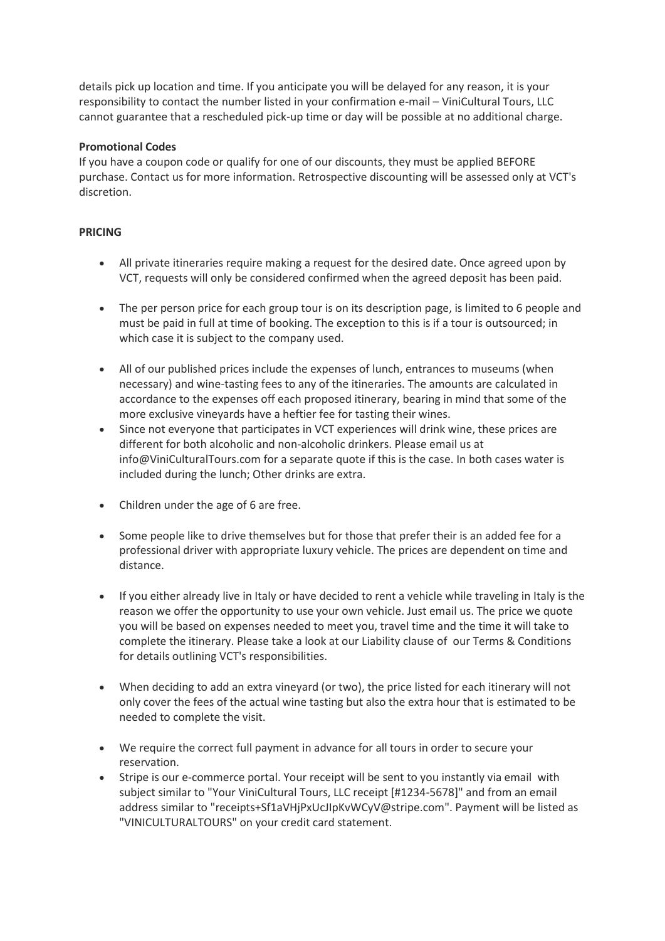details pick up location and time. If you anticipate you will be delayed for any reason, it is your responsibility to contact the number listed in your confirmation e-mail – ViniCultural Tours, LLC cannot guarantee that a rescheduled pick-up time or day will be possible at no additional charge.

# **Promotional Codes**

If you have a coupon code or qualify for one of our discounts, they must be applied BEFORE purchase. Contact us for more information. Retrospective discounting will be assessed only at VCT's discretion.

### **PRICING**

- All private itineraries require making a request for the desired date. Once agreed upon by VCT, requests will only be considered confirmed when the agreed deposit has been paid.
- The per person price for each group tour is on its description page, is limited to 6 people and must be paid in full at time of booking. The exception to this is if a tour is outsourced; in which case it is subject to the company used.
- All of our published prices include the expenses of lunch, entrances to museums (when necessary) and wine-tasting fees to any of the itineraries. The amounts are calculated in accordance to the expenses off each proposed itinerary, bearing in mind that some of the more exclusive vineyards have a heftier fee for tasting their wines.
- Since not everyone that participates in VCT experiences will drink wine, these prices are different for both alcoholic and non-alcoholic drinkers. Please email us at info@ViniCulturalTours.com for a separate quote if this is the case. In both cases water is included during the lunch; Other drinks are extra.
- Children under the age of 6 are free.
- Some people like to drive themselves but for those that prefer their is an added fee for a professional driver with appropriate luxury vehicle. The prices are dependent on time and distance.
- If you either already live in Italy or have decided to rent a vehicle while traveling in Italy is the reason we offer the opportunity to use your own vehicle. Just email us. The price we quote you will be based on expenses needed to meet you, travel time and the time it will take to complete the itinerary. Please take a look at our Liability clause of our Terms & Conditions for details outlining VCT's responsibilities.
- When deciding to add an extra vineyard (or two), the price listed for each itinerary will not only cover the fees of the actual wine tasting but also the extra hour that is estimated to be needed to complete the visit.
- We require the correct full payment in advance for all tours in order to secure your reservation.
- Stripe is our e-commerce portal. Your receipt will be sent to you instantly via email with subject similar to "Your ViniCultural Tours, LLC receipt [#1234-5678]" and from an email address similar to "receipts+Sf1aVHjPxUcJIpKvWCyV@stripe.com". Payment will be listed as "VINICULTURALTOURS" on your credit card statement.